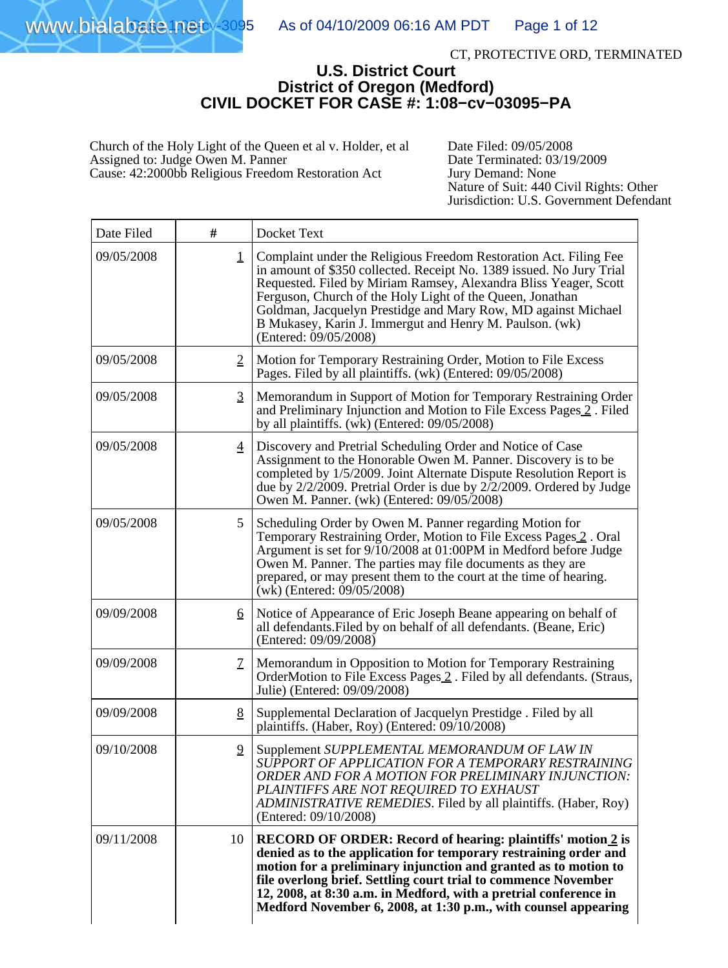#### CT, PROTECTIVE ORD, TERMINATED

### **U.S. District Court District of Oregon (Medford) CIVIL DOCKET FOR CASE #: 1:08−cv−03095−PA**

Church of the Holy Light of the Queen et al v. Holder, et al Assigned to: Judge Owen M. Panner Cause: 42:2000bb Religious Freedom Restoration Act

Date Filed: 09/05/2008 Date Terminated: 03/19/2009 Jury Demand: None Nature of Suit: 440 Civil Rights: Other Jurisdiction: U.S. Government Defendant

| Date Filed | #              | Docket Text                                                                                                                                                                                                                                                                                                                                                                                                                     |
|------------|----------------|---------------------------------------------------------------------------------------------------------------------------------------------------------------------------------------------------------------------------------------------------------------------------------------------------------------------------------------------------------------------------------------------------------------------------------|
| 09/05/2008 | $\mathbf 1$    | Complaint under the Religious Freedom Restoration Act. Filing Fee<br>in amount of \$350 collected. Receipt No. 1389 issued. No Jury Trial<br>Requested. Filed by Miriam Ramsey, Alexandra Bliss Yeager, Scott<br>Ferguson, Church of the Holy Light of the Queen, Jonathan<br>Goldman, Jacquelyn Prestidge and Mary Row, MD against Michael<br>B Mukasey, Karin J. Immergut and Henry M. Paulson. (wk)<br>(Entered: 09/05/2008) |
| 09/05/2008 | $\overline{2}$ | Motion for Temporary Restraining Order, Motion to File Excess<br>Pages. Filed by all plaintiffs. (wk) (Entered: 09/05/2008)                                                                                                                                                                                                                                                                                                     |
| 09/05/2008 | $\overline{3}$ | Memorandum in Support of Motion for Temporary Restraining Order<br>and Preliminary Injunction and Motion to File Excess Pages 2. Filed<br>by all plaintiffs. (wk) (Entered: 09/05/2008)                                                                                                                                                                                                                                         |
| 09/05/2008 | $\overline{4}$ | Discovery and Pretrial Scheduling Order and Notice of Case<br>Assignment to the Honorable Owen M. Panner. Discovery is to be<br>completed by 1/5/2009. Joint Alternate Dispute Resolution Report is<br>due by $2/2/2009$ . Pretrial Order is due by $2/2/2009$ . Ordered by Judge<br>Owen M. Panner. (wk) (Entered: 09/05/2008)                                                                                                 |
| 09/05/2008 | 5              | Scheduling Order by Owen M. Panner regarding Motion for<br>Temporary Restraining Order, Motion to File Excess Pages 2. Oral<br>Argument is set for 9/10/2008 at 01:00PM in Medford before Judge<br>Owen M. Panner. The parties may file documents as they are<br>prepared, or may present them to the court at the time of hearing.<br>$(wk)$ (Entered: 09/05/2008)                                                             |
| 09/09/2008 | 6              | Notice of Appearance of Eric Joseph Beane appearing on behalf of<br>all defendants. Filed by on behalf of all defendants. (Beane, Eric)<br>(Entered: 09/09/2008)                                                                                                                                                                                                                                                                |
| 09/09/2008 | $\mathcal{I}$  | Memorandum in Opposition to Motion for Temporary Restraining<br>OrderMotion to File Excess Pages 2. Filed by all defendants. (Straus,<br>Julie) (Entered: 09/09/2008)                                                                                                                                                                                                                                                           |
| 09/09/2008 | 8              | Supplemental Declaration of Jacquelyn Prestidge . Filed by all<br>plaintiffs. (Haber, Roy) (Entered: 09/10/2008)                                                                                                                                                                                                                                                                                                                |
| 09/10/2008 | $\overline{2}$ | Supplement SUPPLEMENTAL MEMORANDUM OF LAW IN<br>SUPPORT OF APPLICATION FOR A TEMPORARY RESTRAINING<br>ORDER AND FOR A MOTION FOR PRELIMINARY INJUNCTION:<br>PLAINTIFFS ARE NOT REQUIRED TO EXHAUST<br>ADMINISTRATIVE REMEDIES. Filed by all plaintiffs. (Haber, Roy)<br>(Entered: 09/10/2008)                                                                                                                                   |
| 09/11/2008 | 10             | <b>RECORD OF ORDER: Record of hearing: plaintiffs' motion 2 is</b><br>denied as to the application for temporary restraining order and<br>motion for a preliminary injunction and granted as to motion to<br>file overlong brief. Settling court trial to commence November<br>12, 2008, at 8:30 a.m. in Medford, with a pretrial conference in<br>Medford November 6, 2008, at 1:30 p.m., with counsel appearing               |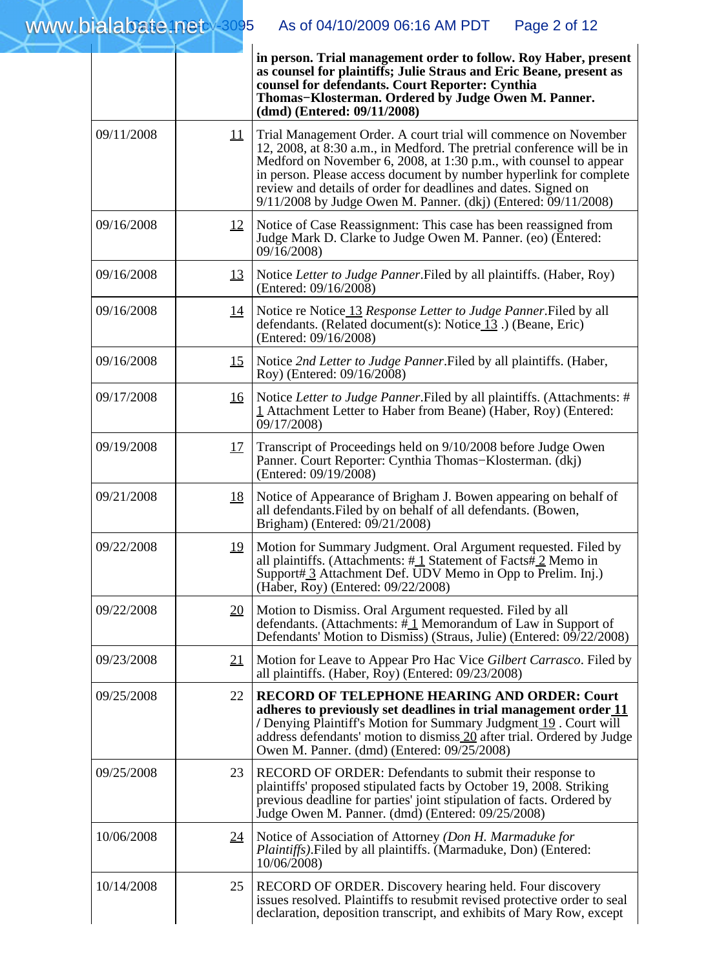|            |                 | in person. Trial management order to follow. Roy Haber, present<br>as counsel for plaintiffs; Julie Straus and Eric Beane, present as<br>counsel for defendants. Court Reporter: Cynthia<br>Thomas–Klosterman. Ordered by Judge Owen M. Panner.<br>(dmd) (Entered: 09/11/2008)                                                                                                                                                    |
|------------|-----------------|-----------------------------------------------------------------------------------------------------------------------------------------------------------------------------------------------------------------------------------------------------------------------------------------------------------------------------------------------------------------------------------------------------------------------------------|
| 09/11/2008 | $\overline{11}$ | Trial Management Order. A court trial will commence on November<br>12, 2008, at 8:30 a.m., in Medford. The pretrial conference will be in<br>Medford on November 6, 2008, at 1:30 $\bar{p}$ .m., with counsel to appear<br>in person. Please access document by number hyperlink for complete<br>review and details of order for deadlines and dates. Signed on<br>9/11/2008 by Judge Owen M. Panner. (dkj) (Entered: 09/11/2008) |
| 09/16/2008 | <u>12</u>       | Notice of Case Reassignment: This case has been reassigned from<br>Judge Mark D. Clarke to Judge Owen M. Panner. (eo) (Entered:<br>09/16/2008)                                                                                                                                                                                                                                                                                    |
| 09/16/2008 | <u>13</u>       | Notice Letter to Judge Panner. Filed by all plaintiffs. (Haber, Roy)<br>(Entered: 09/16/2008)                                                                                                                                                                                                                                                                                                                                     |
| 09/16/2008 | <u>14</u>       | Notice re Notice 13 Response Letter to Judge Panner. Filed by all<br>defendants. (Related document(s): Notice $13$ .) (Beane, Eric)<br>(Entered: 09/16/2008)                                                                                                                                                                                                                                                                      |
| 09/16/2008 | <u>15</u>       | Notice 2nd Letter to Judge Panner. Filed by all plaintiffs. (Haber,<br>Roy) (Entered: 09/16/2008)                                                                                                                                                                                                                                                                                                                                 |
| 09/17/2008 | <u>16</u>       | Notice Letter to Judge Panner. Filed by all plaintiffs. (Attachments: #<br>1 Attachment Letter to Haber from Beane) (Haber, Roy) (Entered:<br>09/17/2008)                                                                                                                                                                                                                                                                         |
| 09/19/2008 | <u>17</u>       | Transcript of Proceedings held on 9/10/2008 before Judge Owen<br>Panner. Court Reporter: Cynthia Thomas-Klosterman. (dkj)<br>(Entered: 09/19/2008)                                                                                                                                                                                                                                                                                |
| 09/21/2008 | <u>18</u>       | Notice of Appearance of Brigham J. Bowen appearing on behalf of<br>all defendants. Filed by on behalf of all defendants. (Bowen,<br>Brigham) (Entered: 09/21/2008)                                                                                                                                                                                                                                                                |
| 09/22/2008 | <u>19</u>       | Motion for Summary Judgment. Oral Argument requested. Filed by<br>all plaintiffs. (Attachments: $\#$ 1 Statement of Facts $\#$ 2 Memo in<br>Support#3 Attachment Def. UDV Memo in Opp to Prelim. Inj.)<br>(Haber, Roy) (Entered: 09/22/2008)                                                                                                                                                                                      |
| 09/22/2008 | <u>20</u>       | Motion to Dismiss. Oral Argument requested. Filed by all<br>defendants. (Attachments: $\#\underline{1}$ Memorandum of Law in Support of<br>Defendants' Motion to Dismiss) (Straus, Julie) (Entered: 09/22/2008)                                                                                                                                                                                                                   |
| 09/23/2008 | <u>21</u>       | Motion for Leave to Appear Pro Hac Vice Gilbert Carrasco. Filed by<br>all plaintiffs. (Haber, Roy) (Entered: 09/23/2008)                                                                                                                                                                                                                                                                                                          |
| 09/25/2008 | 22              | <b>RECORD OF TELEPHONE HEARING AND ORDER: Court</b><br>adheres to previously set deadlines in trial management order 11<br>/ Denying Plaintiff's Motion for Summary Judgment 19. Court will<br>address defendants' motion to dismiss 20 after trial. Ordered by Judge<br>Owen M. Panner. (dmd) (Entered: 09/25/2008)                                                                                                              |
| 09/25/2008 | 23              | RECORD OF ORDER: Defendants to submit their response to<br>plaintiffs' proposed stipulated facts by October 19, 2008. Striking<br>previous deadline for parties' joint stipulation of facts. Ordered by<br>Judge Owen M. Panner. (dmd) (Entered: 09/25/2008)                                                                                                                                                                      |
| 10/06/2008 | 24              | Notice of Association of Attorney (Don H. Marmaduke for<br><i>Plaintiffs</i> ). Filed by all plaintiffs. (Marmaduke, Don) (Entered:<br>10/06/2008)                                                                                                                                                                                                                                                                                |
| 10/14/2008 | 25              | RECORD OF ORDER. Discovery hearing held. Four discovery<br>issues resolved. Plaintiffs to resubmit revised protective order to seal<br>declaration, deposition transcript, and exhibits of Mary Row, except                                                                                                                                                                                                                       |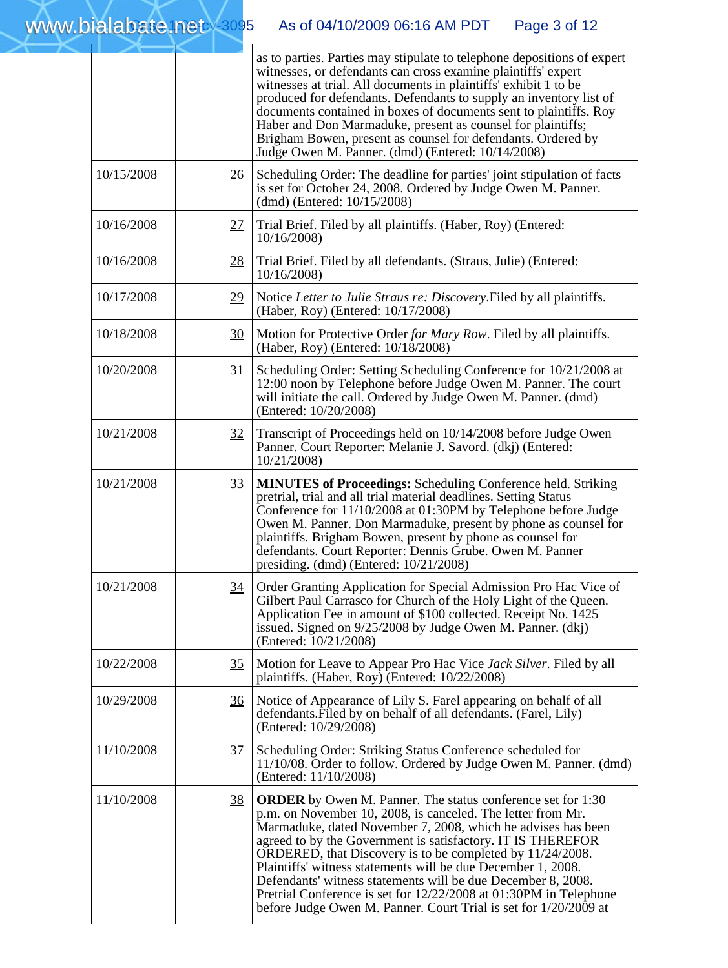|            |                | as to parties. Parties may stipulate to telephone depositions of expert<br>witnesses, or defendants can cross examine plaintiffs' expert<br>witnesses at trial. All documents in plaintiffs' exhibit 1 to be<br>produced for defendants. Defendants to supply an inventory list of<br>documents contained in boxes of documents sent to plaintiffs. Roy<br>Haber and Don Marmaduke, present as counsel for plaintiffs;<br>Brigham Bowen, present as counsel for defendants. Ordered by<br>Judge Owen M. Panner. (dmd) (Entered: 10/14/2008)                                                            |
|------------|----------------|--------------------------------------------------------------------------------------------------------------------------------------------------------------------------------------------------------------------------------------------------------------------------------------------------------------------------------------------------------------------------------------------------------------------------------------------------------------------------------------------------------------------------------------------------------------------------------------------------------|
| 10/15/2008 | 26             | Scheduling Order: The deadline for parties' joint stipulation of facts<br>is set for October 24, 2008. Ordered by Judge Owen M. Panner.<br>(dmd) (Entered: 10/15/2008)                                                                                                                                                                                                                                                                                                                                                                                                                                 |
| 10/16/2008 | 27             | Trial Brief. Filed by all plaintiffs. (Haber, Roy) (Entered:<br>10/16/2008                                                                                                                                                                                                                                                                                                                                                                                                                                                                                                                             |
| 10/16/2008 | 28             | Trial Brief. Filed by all defendants. (Straus, Julie) (Entered:<br>10/16/2008                                                                                                                                                                                                                                                                                                                                                                                                                                                                                                                          |
| 10/17/2008 | 29             | Notice Letter to Julie Straus re: Discovery. Filed by all plaintiffs.<br>(Haber, Roy) (Entered: 10/17/2008)                                                                                                                                                                                                                                                                                                                                                                                                                                                                                            |
| 10/18/2008 | 30             | Motion for Protective Order for Mary Row. Filed by all plaintiffs.<br>(Haber, Roy) (Entered: 10/18/2008)                                                                                                                                                                                                                                                                                                                                                                                                                                                                                               |
| 10/20/2008 | 31             | Scheduling Order: Setting Scheduling Conference for 10/21/2008 at<br>12:00 noon by Telephone before Judge Owen M. Panner. The court<br>will initiate the call. Ordered by Judge Owen M. Panner. (dmd)<br>(Entered: 10/20/2008)                                                                                                                                                                                                                                                                                                                                                                         |
| 10/21/2008 | 32             | Transcript of Proceedings held on 10/14/2008 before Judge Owen<br>Panner. Court Reporter: Melanie J. Savord. (dkj) (Entered:<br>10/21/2008)                                                                                                                                                                                                                                                                                                                                                                                                                                                            |
| 10/21/2008 | 33             | <b>MINUTES of Proceedings:</b> Scheduling Conference held. Striking<br>pretrial, trial and all trial material deadlines. Setting Status<br>Conference for 11/10/2008 at 01:30PM by Telephone before Judge<br>Owen M. Panner. Don Marmaduke, present by phone as counsel for<br>plaintiffs. Brigham Bowen, present by phone as counsel for<br>defendants. Court Reporter: Dennis Grube. Owen M. Panner<br>presiding. (dmd) (Entered: 10/21/2008)                                                                                                                                                        |
| 10/21/2008 | 34             | Order Granting Application for Special Admission Pro Hac Vice of<br>Gilbert Paul Carrasco for Church of the Holy Light of the Queen.<br>Application Fee in amount of \$100 collected. Receipt No. 1425<br>issued. Signed on 9/25/2008 by Judge Owen M. Panner. (dkj)<br>(Entered: 10/21/2008)                                                                                                                                                                                                                                                                                                          |
| 10/22/2008 | <u>35</u>      | Motion for Leave to Appear Pro Hac Vice Jack Silver. Filed by all<br>plaintiffs. (Haber, Roy) (Entered: 10/22/2008)                                                                                                                                                                                                                                                                                                                                                                                                                                                                                    |
| 10/29/2008 | $\frac{36}{5}$ | Notice of Appearance of Lily S. Farel appearing on behalf of all<br>defendants. Filed by on behalf of all defendants. (Farel, Lily)<br>(Entered: 10/29/2008)                                                                                                                                                                                                                                                                                                                                                                                                                                           |
| 11/10/2008 | 37             | Scheduling Order: Striking Status Conference scheduled for<br>11/10/08. Order to follow. Ordered by Judge Owen M. Panner. (dmd)<br>(Entered: 11/10/2008)                                                                                                                                                                                                                                                                                                                                                                                                                                               |
| 11/10/2008 | <u>38</u>      | <b>ORDER</b> by Owen M. Panner. The status conference set for 1:30<br>p.m. on November 10, 2008, is canceled. The letter from Mr.<br>Marmaduke, dated November 7, 2008, which he advises has been<br>agreed to by the Government is satisfactory. IT IS THEREFOR<br>ORDERED, that Discovery is to be completed by 11/24/2008.<br>Plaintiffs' witness statements will be due December 1, 2008.<br>Defendants' witness statements will be due December 8, 2008.<br>Pretrial Conference is set for 12/22/2008 at 01:30PM in Telephone<br>before Judge Owen M. Panner. Court Trial is set for 1/20/2009 at |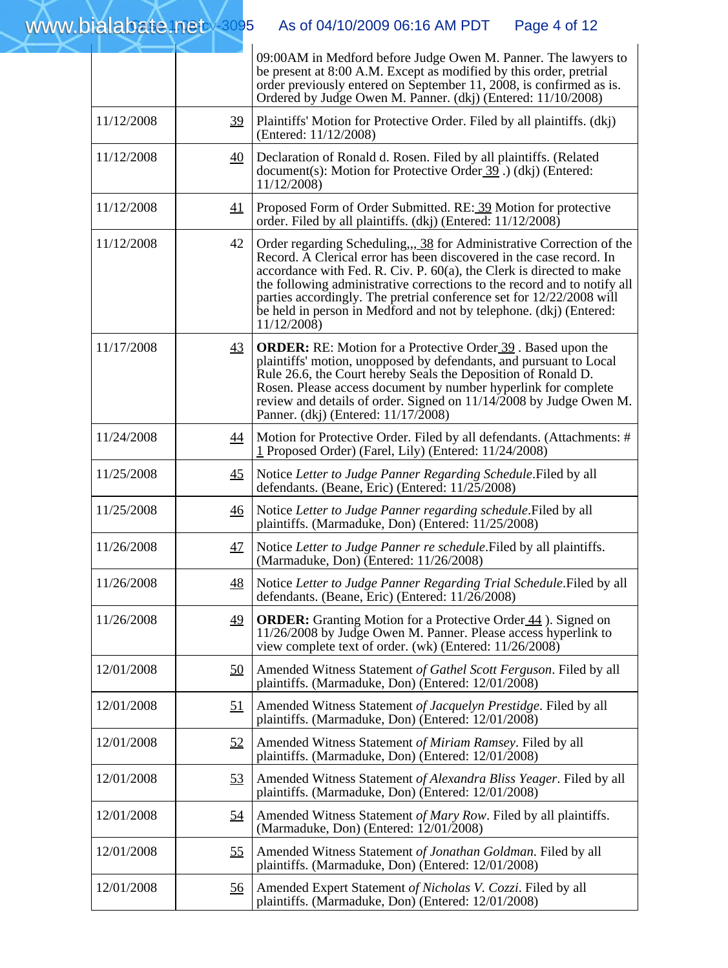|            |                 | 09:00AM in Medford before Judge Owen M. Panner. The lawyers to<br>be present at 8:00 A.M. Except as modified by this order, pretrial<br>order previously entered on September 11, 2008, is confirmed as is.<br>Ordered by Judge Owen M. Panner. (dkj) (Entered: 11/10/2008)                                                                                                                                                                                     |
|------------|-----------------|-----------------------------------------------------------------------------------------------------------------------------------------------------------------------------------------------------------------------------------------------------------------------------------------------------------------------------------------------------------------------------------------------------------------------------------------------------------------|
| 11/12/2008 | 39              | Plaintiffs' Motion for Protective Order. Filed by all plaintiffs. (dkj)<br>(Entered: 11/12/2008)                                                                                                                                                                                                                                                                                                                                                                |
| 11/12/2008 | $\overline{40}$ | Declaration of Ronald d. Rosen. Filed by all plaintiffs. (Related<br>document(s): Motion for Protective Order 39. (dkj) (Entered:<br>11/12/2008)                                                                                                                                                                                                                                                                                                                |
| 11/12/2008 | 41              | Proposed Form of Order Submitted. RE: 39 Motion for protective<br>order. Filed by all plaintiffs. (dkj) (Entered: 11/12/2008)                                                                                                                                                                                                                                                                                                                                   |
| 11/12/2008 | 42              | Order regarding Scheduling,,, 38 for Administrative Correction of the<br>Record. A Clerical error has been discovered in the case record. In<br>accordance with Fed. R. Civ. P. $60(a)$ , the Clerk is directed to make<br>the following administrative corrections to the record and to notify all<br>parties accordingly. The pretrial conference set for 12/22/2008 will<br>be held in person in Medford and not by telephone. (dkj) (Entered:<br>11/12/2008 |
| 11/17/2008 | 43              | <b>ORDER:</b> RE: Motion for a Protective Order 39. Based upon the<br>plaintiffs' motion, unopposed by defendants, and pursuant to Local<br>Rule 26.6, the Court hereby Seals the Deposition of Ronald D.<br>Rosen. Please access document by number hyperlink for complete<br>review and details of order. Signed on $11/14/2008$ by Judge Owen M.<br>Panner. (dkj) (Entered: 11/17/2008)                                                                      |
| 11/24/2008 | $\overline{44}$ | Motion for Protective Order. Filed by all defendants. (Attachments: #<br>1 Proposed Order) (Farel, Lily) (Entered: 11/24/2008)                                                                                                                                                                                                                                                                                                                                  |
| 11/25/2008 | 45              | Notice Letter to Judge Panner Regarding Schedule. Filed by all<br>defendants. (Beane, Eric) (Entered: 11/25/2008)                                                                                                                                                                                                                                                                                                                                               |
| 11/25/2008 | $\overline{46}$ | Notice Letter to Judge Panner regarding schedule. Filed by all<br>plaintiffs. (Marmaduke, Don) (Entered: 11/25/2008)                                                                                                                                                                                                                                                                                                                                            |
| 11/26/2008 | 47              | Notice Letter to Judge Panner re schedule. Filed by all plaintiffs.<br>(Marmaduke, Don) (Entered: 11/26/2008)                                                                                                                                                                                                                                                                                                                                                   |
| 11/26/2008 | 48              | Notice Letter to Judge Panner Regarding Trial Schedule. Filed by all<br>defendants. (Beane, Eric) (Entered: 11/26/2008)                                                                                                                                                                                                                                                                                                                                         |
| 11/26/2008 | 49              | <b>ORDER:</b> Granting Motion for a Protective Order 44. Signed on<br>11/26/2008 by Judge Owen M. Panner. Please access hyperlink to<br>view complete text of order. (wk) (Entered: 11/26/2008)                                                                                                                                                                                                                                                                 |
| 12/01/2008 | <u>50</u>       | Amended Witness Statement of Gathel Scott Ferguson. Filed by all<br>plaintiffs. (Marmaduke, Don) (Entered: 12/01/2008)                                                                                                                                                                                                                                                                                                                                          |
| 12/01/2008 | 51              | Amended Witness Statement of Jacquelyn Prestidge. Filed by all<br>plaintiffs. (Marmaduke, Don) (Entered: 12/01/2008)                                                                                                                                                                                                                                                                                                                                            |
| 12/01/2008 | 52              | Amended Witness Statement of Miriam Ramsey. Filed by all<br>plaintiffs. (Marmaduke, Don) (Entered: 12/01/2008)                                                                                                                                                                                                                                                                                                                                                  |
| 12/01/2008 | 53              | Amended Witness Statement of Alexandra Bliss Yeager. Filed by all<br>plaintiffs. (Marmaduke, Don) (Entered: 12/01/2008)                                                                                                                                                                                                                                                                                                                                         |
| 12/01/2008 | <u>54</u>       | Amended Witness Statement of Mary Row. Filed by all plaintiffs.<br>(Marmaduke, Don) (Entered: 12/01/2008)                                                                                                                                                                                                                                                                                                                                                       |
| 12/01/2008 | 55              | Amended Witness Statement of Jonathan Goldman. Filed by all<br>plaintiffs. (Marmaduke, Don) (Entered: 12/01/2008)                                                                                                                                                                                                                                                                                                                                               |
| 12/01/2008 | <u>56</u>       | Amended Expert Statement of Nicholas V. Cozzi. Filed by all<br>plaintiffs. (Marmaduke, Don) (Entered: 12/01/2008)                                                                                                                                                                                                                                                                                                                                               |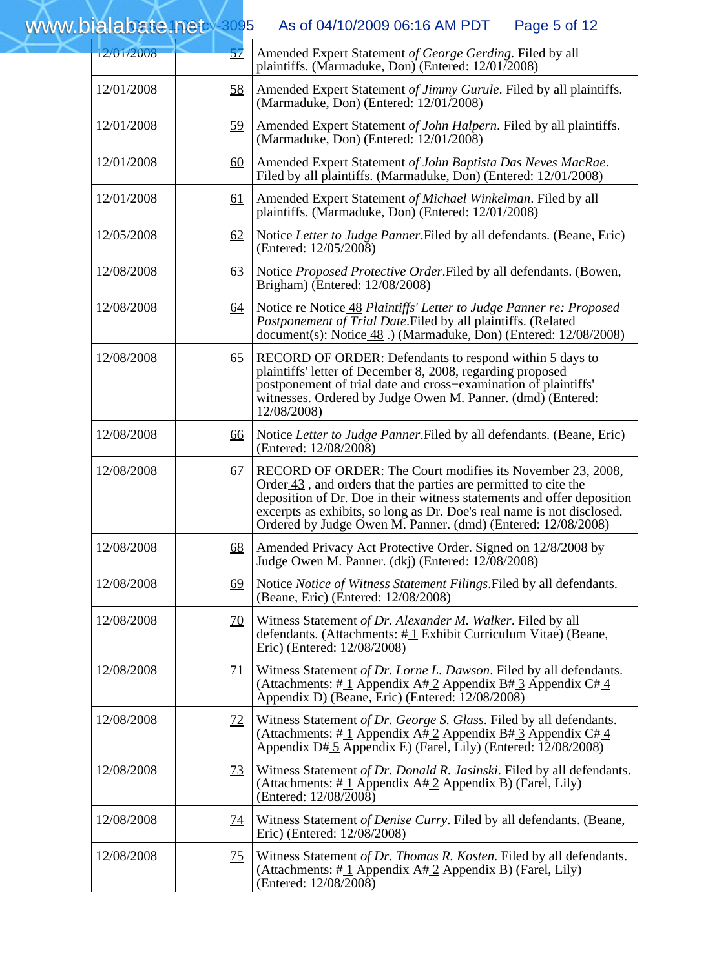12/01/2008 [57](https://ecf.ord.uscourts.gov/doc1/15102682942?pdf_header=1&pdf_toggle_possible=1&de_seq_num=175&caseid=89849) Amended Expert Statement *of George Gerding*. Filed by all plaintiffs. (Marmaduke, Don) (Entered: 12/01/2008) 12/01/2008 [58](https://ecf.ord.uscourts.gov/doc1/15102682998?pdf_header=1&pdf_toggle_possible=1&de_seq_num=177&caseid=89849) Amended Expert Statement *of Jimmy Gurule*. Filed by all plaintiffs. (Marmaduke, Don) (Entered: 12/01/2008) 12/01/2008 [59](https://ecf.ord.uscourts.gov/doc1/15101314268?pdf_header=1&pdf_toggle_possible=1&de_seq_num=179&caseid=89849) Amended Expert Statement *of John Halpern*. Filed by all plaintiffs. (Marmaduke, Don) (Entered: 12/01/2008) 12/01/2008 [60](https://ecf.ord.uscourts.gov/doc1/15101314219?pdf_header=1&pdf_toggle_possible=1&de_seq_num=181&caseid=89849) Amended Expert Statement *of John Baptista Das Neves MacRae*. Filed by all plaintiffs. (Marmaduke, Don) (Entered: 12/01/2008) 12/01/2008 [61](https://ecf.ord.uscourts.gov/doc1/15102683674?pdf_header=1&pdf_toggle_possible=1&de_seq_num=183&caseid=89849) Amended Expert Statement *of Michael Winkelman*. Filed by all plaintiffs. (Marmaduke, Don) (Entered: 12/01/2008) 12/05/2008 [62](https://ecf.ord.uscourts.gov/doc1/15102692213?pdf_header=1&pdf_toggle_possible=1&de_seq_num=185&caseid=89849) Notice *Letter to Judge Panner*.Filed by all defendants. (Beane, Eric) (Entered: 12/05/2008) 12/08/2008 [63](https://ecf.ord.uscourts.gov/doc1/15102693373?pdf_header=1&pdf_toggle_possible=1&de_seq_num=187&caseid=89849) Notice *Proposed Protective Order*.Filed by all defendants. (Bowen, Brigham) (Entered: 12/08/2008) 12/08/2008 [64](https://ecf.ord.uscourts.gov/doc1/15101347005?pdf_header=1&pdf_toggle_possible=1&de_seq_num=189&caseid=89849) Notice re Notic[e 48](https://ecf.ord.uscourts.gov/doc1/15101328143?pdf_header=1&pdf_toggle_possible=1&de_seq_num=157&caseid=89849) *Plaintiffs' Letter to Judge Panner re: Proposed Postponement of Trial Date*.Filed by all plaintiffs. (Related document(s): Notice [48](https://ecf.ord.uscourts.gov/doc1/15101328143?pdf_header=1&pdf_toggle_possible=1&de_seq_num=157&caseid=89849) .) (Marmaduke, Don) (Entered: 12/08/2008) 12/08/2008 65 RECORD OF ORDER: Defendants to respond within 5 days to plaintiffs' letter of December 8, 2008, regarding proposed postponement of trial date and cross−examination of plaintiffs' witnesses. Ordered by Judge Owen M. Panner. (dmd) (Entered: 12/08/2008) 12/08/2008 [66](https://ecf.ord.uscourts.gov/doc1/15102693398?pdf_header=1&pdf_toggle_possible=1&de_seq_num=194&caseid=89849) Notice *Letter to Judge Panner*.Filed by all defendants. (Beane, Eric) (Entered: 12/08/2008) 12/08/2008 67 RECORD OF ORDER: The Court modifies its November 23, 2008, Orde[r 43](https://ecf.ord.uscourts.gov/doc1/15102672900?pdf_header=1&pdf_toggle_possible=1&de_seq_num=147&caseid=89849) , and orders that the parties are permitted to cite the deposition of Dr. Doe in their witness statements and offer deposition excerpts as exhibits, so long as Dr. Doe's real name is not disclosed. Ordered by Judge Owen M. Panner. (dmd) (Entered: 12/08/2008) 12/08/2008 [68](https://ecf.ord.uscourts.gov/doc1/15101346898?pdf_header=1&pdf_toggle_possible=1&de_seq_num=198&caseid=89849) Amended Privacy Act Protective Order. Signed on 12/8/2008 by Judge Owen M. Panner. (dkj) (Entered: 12/08/2008) 12/08/2008 [69](https://ecf.ord.uscourts.gov/doc1/15102694761?pdf_header=1&pdf_toggle_possible=1&de_seq_num=200&caseid=89849) Notice *Notice of Witness Statement Filings*.Filed by all defendants. (Beane, Eric) (Entered: 12/08/2008) 12/08/2008 [70](https://ecf.ord.uscourts.gov/doc1/15101348015?pdf_header=1&pdf_toggle_possible=1&de_seq_num=202&caseid=89849) Witness Statement *of Dr. Alexander M. Walker*. Filed by all defendants. (Attachments:  $\#\underline{1}$  Exhibit Curriculum Vitae) (Beane, Eric) (Entered: 12/08/2008) 12/08/2008 [71](https://ecf.ord.uscourts.gov/doc1/15101347589?pdf_header=1&pdf_toggle_possible=1&de_seq_num=204&caseid=89849) Witness Statement *of Dr. Lorne L. Dawson*. Filed by all defendants. (Attachments: #1 Appendix  $A#2$  Appendix B# [3](https://ecf.ord.uscourts.gov/doc1/15111348025?pdf_header=1&pdf_toggle_possible=1&de_seq_num=204&caseid=89849) Appendix C# [4](https://ecf.ord.uscourts.gov/doc1/15111347626?pdf_header=1&pdf_toggle_possible=1&de_seq_num=204&caseid=89849) www.b ialabate.netAs of 04/10/2009 06:16 AM PDT Page 5 of 12

|            |           | Appendix D) (Beane, Eric) (Entered: 12/08/2008)                                                                                                                                                  |
|------------|-----------|--------------------------------------------------------------------------------------------------------------------------------------------------------------------------------------------------|
| 12/08/2008 | <u>72</u> | Witness Statement of Dr. George S. Glass. Filed by all defendants.<br>(Attachments: #1 Appendix $A#2$ Appendix B#3 Appendix C#1<br>Appendix D# 5 Appendix E) (Farel, Lily) (Entered: 12/08/2008) |
| 12/08/2008 | <u>73</u> | Witness Statement of Dr. Donald R. Jasinski. Filed by all defendants.<br>(Attachments: $\#$ <sup>1</sup> Appendix A $\#$ <sup>2</sup> Appendix B) (Farel, Lily)<br>(Entered: $12/08/2008$ )      |
| 12/08/2008 | <u>74</u> | Witness Statement of Denise Curry. Filed by all defendants. (Beane,<br>Eric) (Entered: 12/08/2008)                                                                                               |
| 12/08/2008 | <u>75</u> | Witness Statement of Dr. Thomas R. Kosten. Filed by all defendants.<br>(Attachments: $\#$ 1 Appendix A $\#$ 2 Appendix B) (Farel, Lily)<br>(Entered: 12/08/2008)                                 |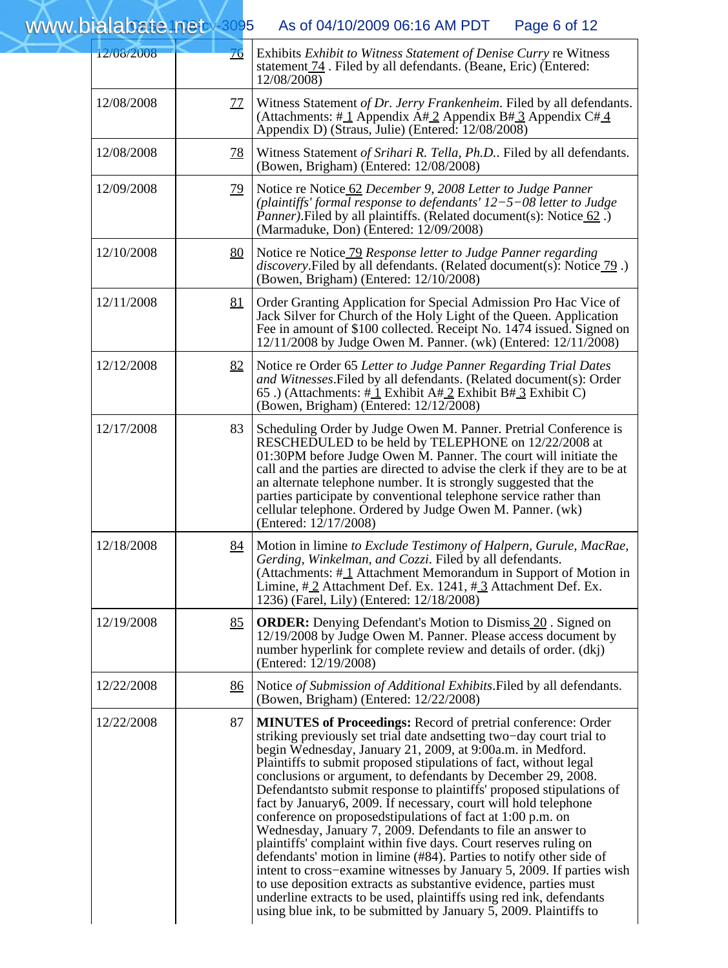$WWW.bialabc$   $\leftrightarrow$  3095 As of 04/10/2009 06:16 AM PDT Page 6 of 12

| 12/08/2008 | $\overline{16}$                                                                                                                                                                        | Exhibits Exhibit to Witness Statement of Denise Curry re Witness<br>statement <b>74</b> . Filed by all defendants. (Beane, Eric) (Entered:<br>12/08/2008)                                                                                                                                                                                                                                                                                                                                                                                                                                                                                                                                                                                                                                                                                                                                                                                                                                                                                                   |
|------------|----------------------------------------------------------------------------------------------------------------------------------------------------------------------------------------|-------------------------------------------------------------------------------------------------------------------------------------------------------------------------------------------------------------------------------------------------------------------------------------------------------------------------------------------------------------------------------------------------------------------------------------------------------------------------------------------------------------------------------------------------------------------------------------------------------------------------------------------------------------------------------------------------------------------------------------------------------------------------------------------------------------------------------------------------------------------------------------------------------------------------------------------------------------------------------------------------------------------------------------------------------------|
| 12/08/2008 | <u>77</u>                                                                                                                                                                              | Witness Statement of Dr. Jerry Frankenheim. Filed by all defendants.<br>(Attachments: #1 Appendix A#2 Appendix B#3 Appendix C#4<br>Appendix D) (Straus, Julie) (Entered: 12/08/2008)                                                                                                                                                                                                                                                                                                                                                                                                                                                                                                                                                                                                                                                                                                                                                                                                                                                                        |
| 12/08/2008 | <u>78</u>                                                                                                                                                                              | Witness Statement of Srihari R. Tella, Ph.D Filed by all defendants.<br>(Bowen, Brigham) (Entered: 12/08/2008)                                                                                                                                                                                                                                                                                                                                                                                                                                                                                                                                                                                                                                                                                                                                                                                                                                                                                                                                              |
| 12/09/2008 | <u>79</u>                                                                                                                                                                              | Notice re Notice 62 December 9, 2008 Letter to Judge Panner<br>(plaintiffs' formal response to defendants' $12-5-08$ letter to Judge<br><i>Panner</i> ). Filed by all plaintiffs. (Related document(s): Notice 62.<br>(Marmaduke, Don) (Entered: 12/09/2008)                                                                                                                                                                                                                                                                                                                                                                                                                                                                                                                                                                                                                                                                                                                                                                                                |
| 12/10/2008 | 80<br>Notice re Notice 79 Response letter to Judge Panner regarding<br>discovery. Filed by all defendants. (Related document(s): Notice 79.)<br>(Bowen, Brigham) (Entered: 12/10/2008) |                                                                                                                                                                                                                                                                                                                                                                                                                                                                                                                                                                                                                                                                                                                                                                                                                                                                                                                                                                                                                                                             |
| 12/11/2008 | 81                                                                                                                                                                                     | Order Granting Application for Special Admission Pro Hac Vice of<br>Jack Silver for Church of the Holy Light of the Queen. Application<br>Fee in amount of \$100 collected. Receipt No. 1474 issued. Signed on<br>12/11/2008 by Judge Owen M. Panner. (wk) (Entered: 12/11/2008)                                                                                                                                                                                                                                                                                                                                                                                                                                                                                                                                                                                                                                                                                                                                                                            |
| 12/12/2008 | 82                                                                                                                                                                                     | Notice re Order 65 Letter to Judge Panner Regarding Trial Dates<br>and Witnesses. Filed by all defendants. (Related document(s): Order<br>65.) (Attachments: # $\frac{1}{1}$ Exhibit A# $\frac{2}{1}$ Exhibit B# $\frac{3}{1}$ Exhibit C)<br>(Bowen, Brigham) (Entered: 12/12/2008)                                                                                                                                                                                                                                                                                                                                                                                                                                                                                                                                                                                                                                                                                                                                                                         |
| 12/17/2008 | 83                                                                                                                                                                                     | Scheduling Order by Judge Owen M. Panner. Pretrial Conference is<br>RESCHEDULED to be held by TELEPHONE on 12/22/2008 at<br>01:30PM before Judge Owen M. Panner. The court will initiate the<br>call and the parties are directed to advise the clerk if they are to be at<br>an alternate telephone number. It is strongly suggested that the<br>parties participate by conventional telephone service rather than<br>cellular telephone. Ordered by Judge Owen M. Panner. (wk)<br>(Entered: 12/17/2008)                                                                                                                                                                                                                                                                                                                                                                                                                                                                                                                                                   |
| 12/18/2008 | 84                                                                                                                                                                                     | Motion in limine to Exclude Testimony of Halpern, Gurule, MacRae,<br>Gerding, Winkelman, and Cozzi. Filed by all defendants.<br>(Attachments: #1 Attachment Memorandum in Support of Motion in<br>Limine, $\#$ 2 Attachment Def. Ex. 1241, $\#$ 3 Attachment Def. Ex.<br>1236) (Farel, Lily) (Entered: 12/18/2008)                                                                                                                                                                                                                                                                                                                                                                                                                                                                                                                                                                                                                                                                                                                                          |
| 12/19/2008 | 85                                                                                                                                                                                     | <b>ORDER:</b> Denying Defendant's Motion to Dismiss 20. Signed on<br>12/19/2008 by Judge Owen M. Panner. Please access document by<br>number hyperlink for complete review and details of order. (dkj)<br>(Entered: 12/19/2008)                                                                                                                                                                                                                                                                                                                                                                                                                                                                                                                                                                                                                                                                                                                                                                                                                             |
| 12/22/2008 | <u>86</u>                                                                                                                                                                              | Notice of Submission of Additional Exhibits. Filed by all defendants.<br>(Bowen, Brigham) (Entered: 12/22/2008)                                                                                                                                                                                                                                                                                                                                                                                                                                                                                                                                                                                                                                                                                                                                                                                                                                                                                                                                             |
| 12/22/2008 | 87                                                                                                                                                                                     | <b>MINUTES of Proceedings: Record of pretrial conference: Order</b><br>striking previously set trial date and setting two-day court trial to<br>begin Wednesday, January 21, 2009, at 9:00a.m. in Medford.<br>Plaintiffs to submit proposed stipulations of fact, without legal<br>conclusions or argument, to defendants by December 29, 2008.<br>Defendantsto submit response to plaintiffs' proposed stipulations of<br>fact by January6, 2009. If necessary, court will hold telephone<br>conference on proposedstipulations of fact at 1:00 p.m. on<br>Wednesday, January 7, 2009. Defendants to file an answer to<br>plaintiffs' complaint within five days. Court reserves ruling on<br>defendants' motion in limine (#84). Parties to notify other side of<br>intent to cross-examine witnesses by January 5, 2009. If parties wish<br>to use deposition extracts as substantive evidence, parties must<br>underline extracts to be used, plaintiffs using red ink, defendants<br>using blue ink, to be submitted by January 5, 2009. Plaintiffs to |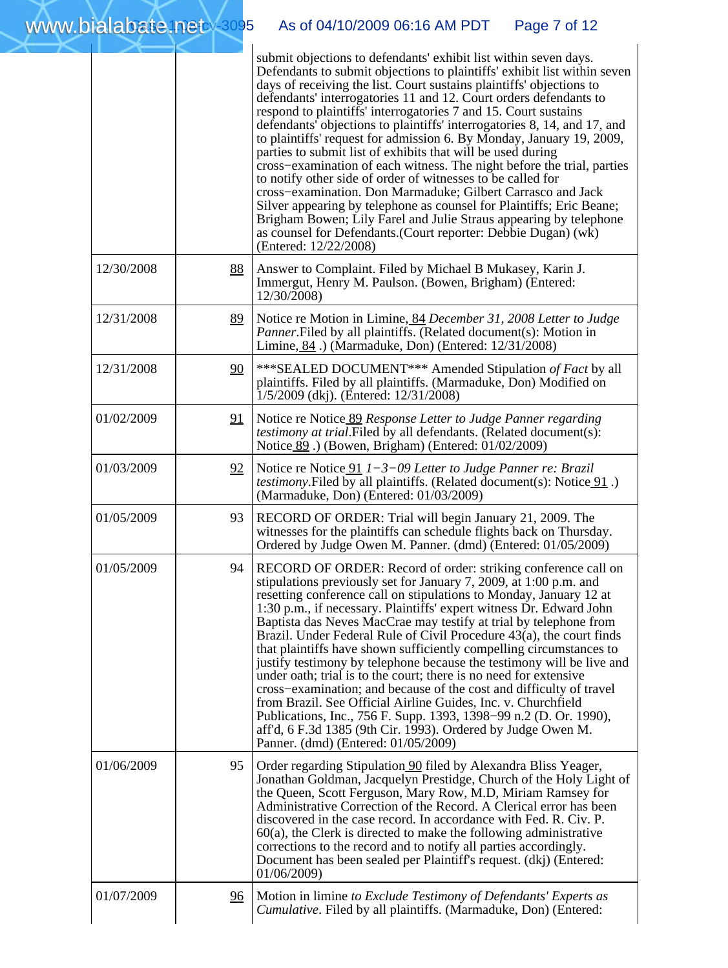|            |           | submit objections to defendants' exhibit list within seven days.<br>Defendants to submit objections to plaintiffs' exhibit list within seven<br>days of receiving the list. Court sustains plaintiffs' objections to<br>defendants' interrogatories 11 and 12. Court orders defendants to<br>respond to plaintiffs' interrogatories 7 and 15. Court sustains<br>defendants' objections to plaintiffs' interrogatories 8, 14, and 17, and<br>to plaintiffs' request for admission 6. By Monday, January 19, 2009,<br>parties to submit list of exhibits that will be used during<br>cross-examination of each witness. The night before the trial, parties<br>to notify other side of order of witnesses to be called for<br>cross-examination. Don Marmaduke; Gilbert Carrasco and Jack<br>Silver appearing by telephone as counsel for Plaintiffs; Eric Beane;<br>Brigham Bowen; Lily Farel and Julie Straus appearing by telephone<br>as counsel for Defendants. (Court reporter: Debbie Dugan) $(w\bar{k})$<br>(Entered: 12/22/2008) |
|------------|-----------|-----------------------------------------------------------------------------------------------------------------------------------------------------------------------------------------------------------------------------------------------------------------------------------------------------------------------------------------------------------------------------------------------------------------------------------------------------------------------------------------------------------------------------------------------------------------------------------------------------------------------------------------------------------------------------------------------------------------------------------------------------------------------------------------------------------------------------------------------------------------------------------------------------------------------------------------------------------------------------------------------------------------------------------------|
| 12/30/2008 | <u>88</u> | Answer to Complaint. Filed by Michael B Mukasey, Karin J.<br>Immergut, Henry M. Paulson. (Bowen, Brigham) (Entered:<br>12/30/2008)                                                                                                                                                                                                                                                                                                                                                                                                                                                                                                                                                                                                                                                                                                                                                                                                                                                                                                      |
| 12/31/2008 | <u>89</u> | Notice re Motion in Limine, 84 December 31, 2008 Letter to Judge<br>Panner. Filed by all plaintiffs. (Related document(s): Motion in<br>Limine, 84.) (Marmaduke, Don) (Entered: 12/31/2008)                                                                                                                                                                                                                                                                                                                                                                                                                                                                                                                                                                                                                                                                                                                                                                                                                                             |
| 12/31/2008 | 90        | *** SEALED DOCUMENT*** Amended Stipulation of Fact by all<br>plaintiffs. Filed by all plaintiffs. (Marmaduke, Don) Modified on<br>1/5/2009 (dkj). (Entered: 12/31/2008)                                                                                                                                                                                                                                                                                                                                                                                                                                                                                                                                                                                                                                                                                                                                                                                                                                                                 |
| 01/02/2009 | 21        | Notice re Notice 89 Response Letter to Judge Panner regarding<br><i>testimony at trial.Filed by all defendants. (Related document(s):</i><br>Notice 89.) (Bowen, Brigham) (Entered: 01/02/2009)                                                                                                                                                                                                                                                                                                                                                                                                                                                                                                                                                                                                                                                                                                                                                                                                                                         |
| 01/03/2009 | 92        | Notice re Notice $91$ $1-3-09$ Letter to Judge Panner re: Brazil<br><i>testimony</i> . Filed by all plaintiffs. (Related document(s): Notice $91$ .)<br>(Marmaduke, Don) (Entered: 01/03/2009)                                                                                                                                                                                                                                                                                                                                                                                                                                                                                                                                                                                                                                                                                                                                                                                                                                          |
| 01/05/2009 | 93        | RECORD OF ORDER: Trial will begin January 21, 2009. The<br>witnesses for the plaintiffs can schedule flights back on Thursday.<br>Ordered by Judge Owen M. Panner. (dmd) (Entered: 01/05/2009)                                                                                                                                                                                                                                                                                                                                                                                                                                                                                                                                                                                                                                                                                                                                                                                                                                          |
| 01/05/2009 | 94        | RECORD OF ORDER: Record of order: striking conference call on<br>stipulations previously set for January 7, 2009, at 1:00 p.m. and<br>resetting conference call on stipulations to Monday, January 12 at<br>1:30 p.m., if necessary. Plaintiffs' expert witness Dr. Edward John<br>Baptista das Neves MacCrae may testify at trial by telephone from<br>Brazil. Under Federal Rule of Civil Procedure 43(a), the court finds<br>that plaintiffs have shown sufficiently compelling circumstances to<br>justify testimony by telephone because the testimony will be live and<br>under oath; trial is to the court; there is no need for extensive<br>cross-examination; and because of the cost and difficulty of travel<br>from Brazil. See Official Airline Guides, Inc. v. Churchfield<br>Publications, Inc., 756 F. Supp. 1393, 1398–99 n.2 (D. Or. 1990),<br>aff'd, 6 F.3d 1385 (9th Cir. 1993). Ordered by Judge Owen M.<br>Panner. (dmd) (Entered: 01/05/2009)                                                                   |
| 01/06/2009 | 95        | Order regarding Stipulation 90 filed by Alexandra Bliss Yeager,<br>Jonathan Goldman, Jacquelyn Prestidge, Church of the Holy Light of<br>the Queen, Scott Ferguson, Mary Row, M.D, Miriam Ramsey for<br>Administrative Correction of the Record. A Clerical error has been<br>discovered in the case record. In accordance with Fed. R. Civ. P.<br>$60(a)$ , the Clerk is directed to make the following administrative<br>corrections to the record and to notify all parties accordingly.<br>Document has been sealed per Plaintiff's request. (dkj) (Entered:<br>01/06/2009)                                                                                                                                                                                                                                                                                                                                                                                                                                                         |
| 01/07/2009 | <u>96</u> | Motion in limine to Exclude Testimony of Defendants' Experts as<br><i>Cumulative</i> . Filed by all plaintiffs. (Marmaduke, Don) (Entered:                                                                                                                                                                                                                                                                                                                                                                                                                                                                                                                                                                                                                                                                                                                                                                                                                                                                                              |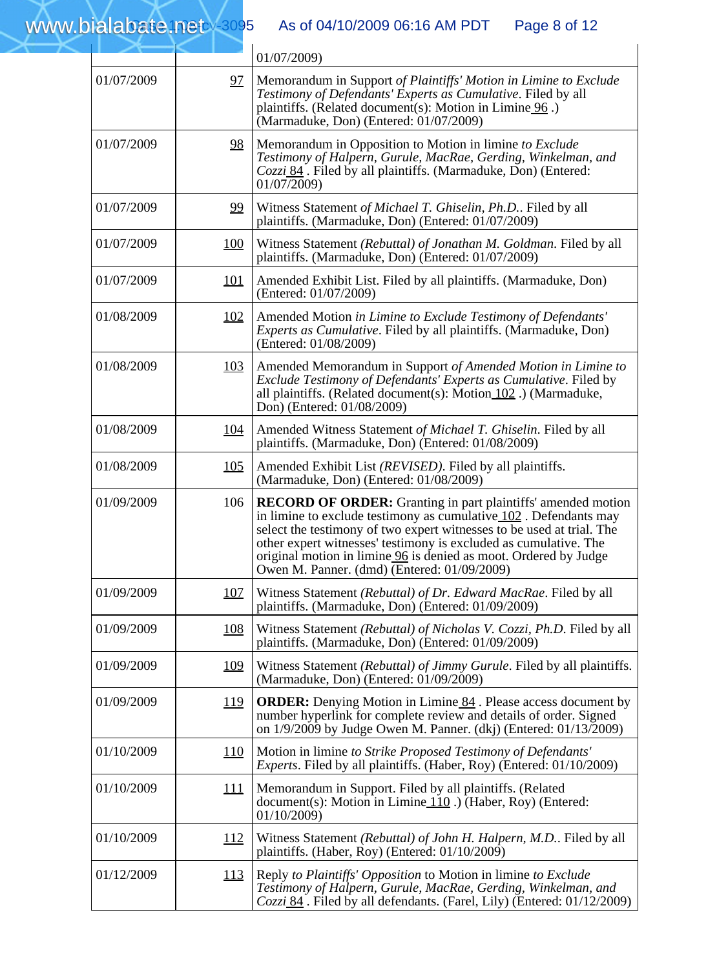## www.b ialabate.net

### As of 04/10/2009 06:16 AM PDT

| Page 8 of 12 |  |  |  |
|--------------|--|--|--|
|--------------|--|--|--|

|            |             | 01/07/2009)                                                                                                                                                                                                                                                                                                                                                                                                |
|------------|-------------|------------------------------------------------------------------------------------------------------------------------------------------------------------------------------------------------------------------------------------------------------------------------------------------------------------------------------------------------------------------------------------------------------------|
| 01/07/2009 | 97          | Memorandum in Support of Plaintiffs' Motion in Limine to Exclude<br>Testimony of Defendants' Experts as Cumulative. Filed by all<br>plaintiffs. (Related document(s): Motion in Limine 96.)<br>(Marmaduke, Don) (Entered: 01/07/2009)                                                                                                                                                                      |
| 01/07/2009 | <u>98</u>   | Memorandum in Opposition to Motion in limine to Exclude<br>Testimony of Halpern, Gurule, MacRae, Gerding, Winkelman, and<br>Cozzi 84. Filed by all plaintiffs. (Marmaduke, Don) (Entered:<br>01/07/2009)                                                                                                                                                                                                   |
| 01/07/2009 | 99          | Witness Statement of Michael T. Ghiselin, Ph.D Filed by all<br>plaintiffs. (Marmaduke, Don) (Entered: 01/07/2009)                                                                                                                                                                                                                                                                                          |
| 01/07/2009 | <b>100</b>  | Witness Statement (Rebuttal) of Jonathan M. Goldman. Filed by all<br>plaintiffs. (Marmaduke, Don) (Entered: 01/07/2009)                                                                                                                                                                                                                                                                                    |
| 01/07/2009 | <u>101</u>  | Amended Exhibit List. Filed by all plaintiffs. (Marmaduke, Don)<br>(Entered: 01/07/2009)                                                                                                                                                                                                                                                                                                                   |
| 01/08/2009 | <u>102</u>  | Amended Motion in Limine to Exclude Testimony of Defendants'<br>Experts as Cumulative. Filed by all plaintiffs. (Marmaduke, Don)<br>(Entered: 01/08/2009)                                                                                                                                                                                                                                                  |
| 01/08/2009 | <u>103</u>  | Amended Memorandum in Support of Amended Motion in Limine to<br>Exclude Testimony of Defendants' Experts as Cumulative. Filed by<br>all plaintiffs. (Related document(s): Motion 102.) (Marmaduke,<br>Don) (Entered: 01/08/2009)                                                                                                                                                                           |
| 01/08/2009 | <u>104</u>  | Amended Witness Statement of Michael T. Ghiselin. Filed by all<br>plaintiffs. (Marmaduke, Don) (Entered: 01/08/2009)                                                                                                                                                                                                                                                                                       |
| 01/08/2009 | 105         | Amended Exhibit List (REVISED). Filed by all plaintiffs.<br>(Marmaduke, Don) (Entered: 01/08/2009)                                                                                                                                                                                                                                                                                                         |
| 01/09/2009 | 106         | <b>RECORD OF ORDER:</b> Granting in part plaintiffs' amended motion<br>in limine to exclude testimony as cumulative $102$ . Defendants may<br>select the testimony of two expert witnesses to be used at trial. The<br>other expert witnesses' testimony is excluded as cumulative. The<br>original motion in limine 96 is denied as moot. Ordered by Judge<br>Owen M. Panner. (dmd) (Entered: 01/09/2009) |
| 01/09/2009 | 107         | Witness Statement (Rebuttal) of Dr. Edward MacRae. Filed by all<br>plaintiffs. (Marmaduke, Don) (Entered: 01/09/2009)                                                                                                                                                                                                                                                                                      |
| 01/09/2009 | 108         | Witness Statement (Rebuttal) of Nicholas V. Cozzi, Ph.D. Filed by all<br>plaintiffs. (Marmaduke, Don) (Entered: 01/09/2009)                                                                                                                                                                                                                                                                                |
| 01/09/2009 | <u>109</u>  | Witness Statement (Rebuttal) of Jimmy Gurule. Filed by all plaintiffs.<br>(Marmaduke, Don) (Entered: 01/09/2009)                                                                                                                                                                                                                                                                                           |
| 01/09/2009 | <u>119</u>  | <b>ORDER:</b> Denying Motion in Limine 84. Please access document by<br>number hyperlink for complete review and details of order. Signed<br>on 1/9/2009 by Judge Owen M. Panner. (dkj) (Entered: 01/13/2009)                                                                                                                                                                                              |
| 01/10/2009 | 110         | Motion in limine to Strike Proposed Testimony of Defendants'<br><i>Experts.</i> Filed by all plaintiffs. (Haber, Roy) (Entered: 01/10/2009)                                                                                                                                                                                                                                                                |
| 01/10/2009 | <u> 111</u> | Memorandum in Support. Filed by all plaintiffs. (Related<br>document(s): Motion in Limine $110$ .) (Haber, Roy) (Entered:<br>01/10/2009                                                                                                                                                                                                                                                                    |
| 01/10/2009 | <u>112</u>  | Witness Statement (Rebuttal) of John H. Halpern, M.D Filed by all<br>plaintiffs. (Haber, Roy) (Entered: 01/10/2009)                                                                                                                                                                                                                                                                                        |
| 01/12/2009 | <u> 113</u> | Reply to Plaintiffs' Opposition to Motion in limine to Exclude<br>Testimony of Halpern, Gurule, MacRae, Gerding, Winkelman, and<br>Cozzi 84. Filed by all defendants. (Farel, Lily) (Entered: 01/12/2009)                                                                                                                                                                                                  |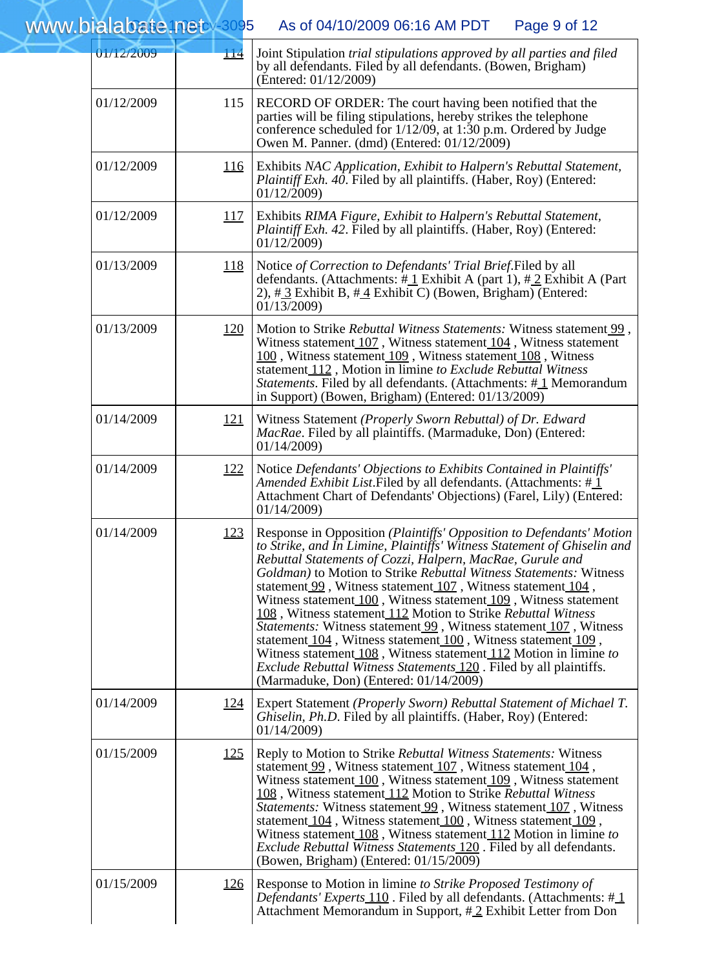| 01/12/2009 | <u> 114</u> | Joint Stipulation trial stipulations approved by all parties and filed<br>by all defendants. Filed by all defendants. (Bowen, Brigham)<br>(Entered: 01/12/2009)                                                                                                                                                                                                                                                                                                                                                                                                                                                                                                                                                                                                                                                         |
|------------|-------------|-------------------------------------------------------------------------------------------------------------------------------------------------------------------------------------------------------------------------------------------------------------------------------------------------------------------------------------------------------------------------------------------------------------------------------------------------------------------------------------------------------------------------------------------------------------------------------------------------------------------------------------------------------------------------------------------------------------------------------------------------------------------------------------------------------------------------|
| 01/12/2009 | 115         | RECORD OF ORDER: The court having been notified that the<br>parties will be filing stipulations, hereby strikes the telephone<br>conference scheduled for 1/12/09, at 1:30 p.m. Ordered by Judge<br>Owen M. Panner. (dmd) (Entered: 01/12/2009)                                                                                                                                                                                                                                                                                                                                                                                                                                                                                                                                                                         |
| 01/12/2009 | <u>116</u>  | Exhibits NAC Application, Exhibit to Halpern's Rebuttal Statement,<br>Plaintiff Exh. 40. Filed by all plaintiffs. (Haber, Roy) (Entered:<br>01/12/2009                                                                                                                                                                                                                                                                                                                                                                                                                                                                                                                                                                                                                                                                  |
| 01/12/2009 | <u>117</u>  | Exhibits RIMA Figure, Exhibit to Halpern's Rebuttal Statement,<br>Plaintiff Exh. 42. Filed by all plaintiffs. (Haber, Roy) (Entered:<br>01/12/2009)                                                                                                                                                                                                                                                                                                                                                                                                                                                                                                                                                                                                                                                                     |
| 01/13/2009 | <u> 118</u> | Notice of Correction to Defendants' Trial Brief. Filed by all<br>defendants. (Attachments: $\#$ 1 Exhibit A (part 1), $\#$ 2 Exhibit A (Part<br>2), $\#$ 3 Exhibit B, $\#$ 4 Exhibit C) (Bowen, Brigham) (Entered:<br>01/13/2009)                                                                                                                                                                                                                                                                                                                                                                                                                                                                                                                                                                                       |
| 01/13/2009 | <u>120</u>  | Motion to Strike Rebuttal Witness Statements: Witness statement 99,<br>Witness statement 107, Witness statement 104, Witness statement<br>100, Witness statement 109, Witness statement 108, Witness<br>statement 112, Motion in limine to Exclude Rebuttal Witness<br>Statements. Filed by all defendants. (Attachments: #1 Memorandum<br>in Support) (Bowen, Brigham) (Entered: 01/13/2009)                                                                                                                                                                                                                                                                                                                                                                                                                           |
| 01/14/2009 | <u> 121</u> | Witness Statement (Properly Sworn Rebuttal) of Dr. Edward<br><i>MacRae</i> . Filed by all plaintiffs. (Marmaduke, Don) (Entered:<br>01/14/2009)                                                                                                                                                                                                                                                                                                                                                                                                                                                                                                                                                                                                                                                                         |
| 01/14/2009 | <u> 122</u> | Notice Defendants' Objections to Exhibits Contained in Plaintiffs'<br>Amended Exhibit List. Filed by all defendants. (Attachments: $\#$ 1)<br>Attachment Chart of Defendants' Objections) (Farel, Lily) (Entered:<br>01/14/2009)                                                                                                                                                                                                                                                                                                                                                                                                                                                                                                                                                                                        |
| 01/14/2009 | <u>123</u>  | Response in Opposition (Plaintiffs' Opposition to Defendants' Motion<br>to Strike, and In Limine, Plaintiffs' Witness Statement of Ghiselin and<br>Rebuttal Statements of Cozzi, Halpern, MacRae, Gurule and<br>Goldman) to Motion to Strike Rebuttal Witness Statements: Witness<br>statement 99, Witness statement 107, Witness statement 104,<br>Witness statement $100$ , Witness statement $109$ , Witness statement<br>108, Witness statement 112 Motion to Strike Rebuttal Witness<br>Statements: Witness statement 99, Witness statement 107, Witness<br>statement 104, Witness statement 100, Witness statement 109,<br>Witness statement 108, Witness statement 112 Motion in limine to<br><i>Exclude Rebuttal Witness Statements</i> 120. Filed by all plaintiffs.<br>(Marmaduke, Don) (Entered: 01/14/2009) |
| 01/14/2009 | <u>124</u>  | Expert Statement (Properly Sworn) Rebuttal Statement of Michael T.<br>Ghiselin, Ph.D. Filed by all plaintiffs. (Haber, Roy) (Entered:<br>01/14/2009)                                                                                                                                                                                                                                                                                                                                                                                                                                                                                                                                                                                                                                                                    |
| 01/15/2009 | <u>125</u>  | Reply to Motion to Strike Rebuttal Witness Statements: Witness<br>statement 99, Witness statement 107, Witness statement 104,<br>Witness statement $100$ , Witness statement $109$ , Witness statement<br>108, Witness statement 112 Motion to Strike Rebuttal Witness<br><i>Statements:</i> Witness statement 99, Witness statement 107, Witness<br>statement 104, Witness statement 100, Witness statement 109,<br>Witness statement 108, Witness statement 112 Motion in limine to<br><i>Exclude Rebuttal Witness Statements</i> 120. Filed by all defendants.<br>(Bowen, Brigham) (Entered: 01/15/2009)                                                                                                                                                                                                             |
| 01/15/2009 | <u>126</u>  | Response to Motion in limine to Strike Proposed Testimony of<br><i>Defendants' Experts</i> $\frac{110}{110}$ . Filed by all defendants. (Attachments: # $\frac{1}{10}$<br>Attachment Memorandum in Support, #2 Exhibit Letter from Don                                                                                                                                                                                                                                                                                                                                                                                                                                                                                                                                                                                  |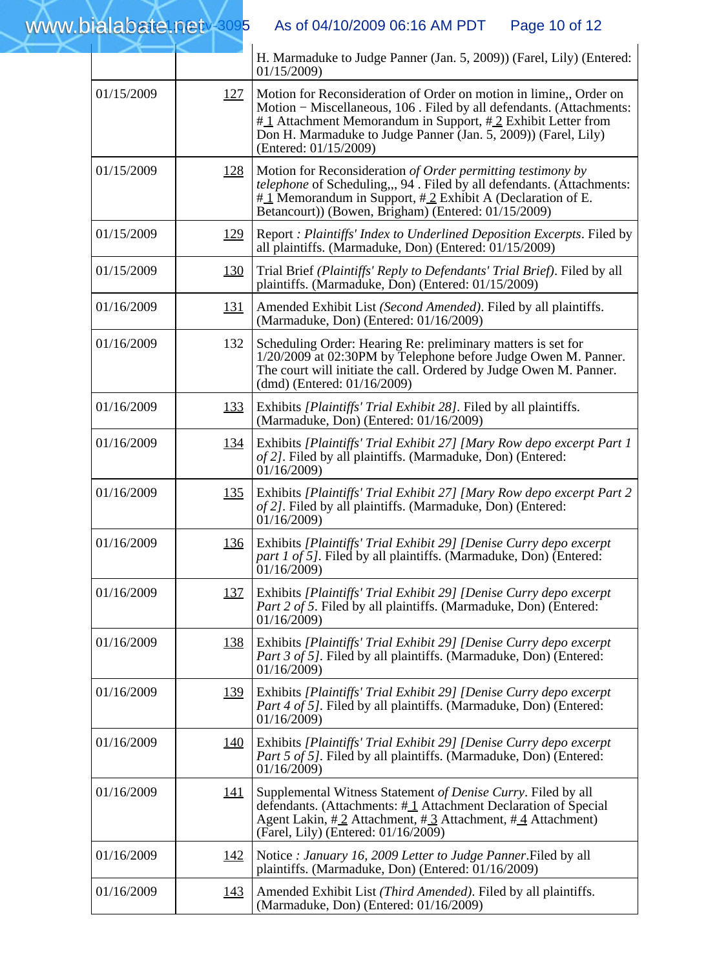|            |             | H. Marmaduke to Judge Panner (Jan. 5, 2009)) (Farel, Lily) (Entered:<br>01/15/2009                                                                                                                                                                                                                  |
|------------|-------------|-----------------------------------------------------------------------------------------------------------------------------------------------------------------------------------------------------------------------------------------------------------------------------------------------------|
| 01/15/2009 | <u>127</u>  | Motion for Reconsideration of Order on motion in limine,, Order on<br>Motion - Miscellaneous, 106. Filed by all defendants. (Attachments:<br>#1 Attachment Memorandum in Support, #2 Exhibit Letter from<br>Don H. Marmaduke to Judge Panner (Jan. 5, 2009)) (Farel, Lily)<br>(Entered: 01/15/2009) |
| 01/15/2009 | <u>128</u>  | Motion for Reconsideration of Order permitting testimony by<br>telephone of Scheduling,,, 94. Filed by all defendants. (Attachments:<br>$\#$ Memorandum in Support, $\#$ 2 Exhibit A (Declaration of E.<br>Betancourt)) (Bowen, Brigham) (Entered: 01/15/2009)                                      |
| 01/15/2009 | <u>129</u>  | Report : Plaintiffs' Index to Underlined Deposition Excerpts. Filed by<br>all plaintiffs. (Marmaduke, Don) (Entered: 01/15/2009)                                                                                                                                                                    |
| 01/15/2009 | <u>130</u>  | Trial Brief (Plaintiffs' Reply to Defendants' Trial Brief). Filed by all<br>plaintiffs. (Marmaduke, Don) (Entered: 01/15/2009)                                                                                                                                                                      |
| 01/16/2009 | <u>131</u>  | Amended Exhibit List (Second Amended). Filed by all plaintiffs.<br>(Marmaduke, Don) (Entered: 01/16/2009)                                                                                                                                                                                           |
| 01/16/2009 | 132         | Scheduling Order: Hearing Re: preliminary matters is set for<br>1/20/2009 at 02:30PM by Telephone before Judge Owen M. Panner.<br>The court will initiate the call. Ordered by Judge Owen M. Panner.<br>(dmd) (Entered: $01/16/2009$ )                                                              |
| 01/16/2009 | <u>133</u>  | Exhibits [Plaintiffs' Trial Exhibit 28]. Filed by all plaintiffs.<br>(Marmaduke, Don) (Entered: 01/16/2009)                                                                                                                                                                                         |
| 01/16/2009 | <u>134</u>  | Exhibits [Plaintiffs' Trial Exhibit 27] [Mary Row depo excerpt Part 1<br>of 2]. Filed by all plaintiffs. (Marmaduke, Don) (Entered:<br>01/16/2009                                                                                                                                                   |
| 01/16/2009 | <u>135</u>  | Exhibits [Plaintiffs' Trial Exhibit 27] [Mary Row depo excerpt Part 2<br>of 2]. Filed by all plaintiffs. (Marmaduke, Don) (Entered:<br>01/16/2009                                                                                                                                                   |
| 01/16/2009 | <u>136</u>  | Exhibits [Plaintiffs' Trial Exhibit 29] [Denise Curry depo excerpt<br>part 1 of 5]. Filed by all plaintiffs. (Marmaduke, Don) (Entered:<br>01/16/2009                                                                                                                                               |
| 01/16/2009 | <u> 137</u> | Exhibits [Plaintiffs' Trial Exhibit 29] [Denise Curry depo excerpt<br>Part 2 of 5. Filed by all plaintiffs. (Marmaduke, Don) (Entered:<br>01/16/2009                                                                                                                                                |
| 01/16/2009 | <u>138</u>  | Exhibits [Plaintiffs' Trial Exhibit 29] [Denise Curry depo excerpt<br>Part 3 of 5]. Filed by all plaintiffs. (Marmaduke, Don) (Entered:<br>01/16/2009                                                                                                                                               |
| 01/16/2009 | <u>139</u>  | Exhibits [Plaintiffs' Trial Exhibit 29] [Denise Curry depo excerpt<br><i>Part 4 of 5]</i> . Filed by all plaintiffs. (Marmaduke, Don) (Entered:<br>01/16/2009                                                                                                                                       |
| 01/16/2009 | <u> 140</u> | Exhibits [Plaintiffs' Trial Exhibit 29] [Denise Curry depo excerpt<br>Part 5 of 5]. Filed by all plaintiffs. (Marmaduke, Don) (Entered:<br>01/16/2009                                                                                                                                               |
| 01/16/2009 | <u> 141</u> | Supplemental Witness Statement of Denise Curry. Filed by all<br>defendants. (Attachments: $\#$ 1 Attachment Declaration of Special<br>Agent Lakin, #2 Attachment, #3 Attachment, #4 Attachment)<br>(Farel, Lily) (Entered: 01/16/2009)                                                              |
| 01/16/2009 | <u> 142</u> | Notice : January 16, 2009 Letter to Judge Panner. Filed by all<br>plaintiffs. (Marmaduke, Don) (Entered: 01/16/2009)                                                                                                                                                                                |
| 01/16/2009 | <u> 143</u> | Amended Exhibit List (Third Amended). Filed by all plaintiffs.<br>(Marmaduke, Don) (Entered: 01/16/2009)                                                                                                                                                                                            |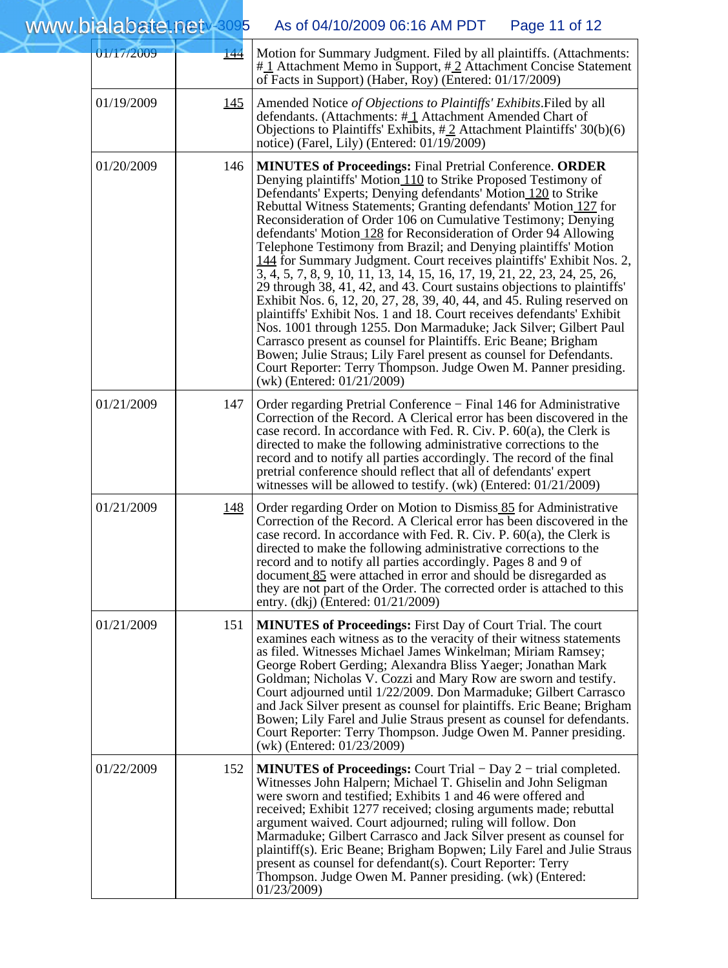| 01/17/2009 | <u> 144</u> | Motion for Summary Judgment. Filed by all plaintiffs. (Attachments:<br>#1 Attachment Memo in Support, #2 Attachment Concise Statement<br>of Facts in Support) (Haber, Roy) (Entered: 01/17/2009)                                                                                                                                                                                                                                                                                                                                                                                                                                                                                                                                                                                                                                                                                                                                                                                                                                                                                                                                                                               |
|------------|-------------|--------------------------------------------------------------------------------------------------------------------------------------------------------------------------------------------------------------------------------------------------------------------------------------------------------------------------------------------------------------------------------------------------------------------------------------------------------------------------------------------------------------------------------------------------------------------------------------------------------------------------------------------------------------------------------------------------------------------------------------------------------------------------------------------------------------------------------------------------------------------------------------------------------------------------------------------------------------------------------------------------------------------------------------------------------------------------------------------------------------------------------------------------------------------------------|
| 01/19/2009 | <u> 145</u> | Amended Notice of Objections to Plaintiffs' Exhibits. Filed by all<br>defendants. (Attachments: $\#$ 1 Attachment Amended Chart of<br>Objections to Plaintiffs' Exhibits, $\#\underline{2}$ Attachment Plaintiffs' 30(b)(6)<br>notice) (Farel, Lily) (Entered: 01/19/2009)                                                                                                                                                                                                                                                                                                                                                                                                                                                                                                                                                                                                                                                                                                                                                                                                                                                                                                     |
| 01/20/2009 | 146         | <b>MINUTES of Proceedings: Final Pretrial Conference. ORDER</b><br>Denying plaintiffs' Motion 110 to Strike Proposed Testimony of<br>Defendants' Experts; Denying defendants' Motion 120 to Strike<br>Rebuttal Witness Statements; Granting defendants' Motion 127 for<br>Reconsideration of Order 106 on Cumulative Testimony; Denying<br>defendants' Motion 128 for Reconsideration of Order 94 Allowing<br>Telephone Testimony from Brazil; and Denying plaintiffs' Motion<br>144 for Summary Judgment. Court receives plaintiffs' Exhibit Nos. 2,<br>3, 4, 5, 7, 8, 9, 10, 11, 13, 14, 15, 16, 17, 19, 21, 22, 23, 24, 25, 26,<br>29 through 38, 41, 42, and 43. Court sustains objections to plaintiffs'<br>Exhibit Nos. 6, 12, 20, 27, 28, 39, 40, 44, and 45. Ruling reserved on<br>plaintiffs' Exhibit Nos. 1 and 18. Court receives defendants' Exhibit<br>Nos. 1001 through 1255. Don Marmaduke; Jack Silver; Gilbert Paul<br>Carrasco present as counsel for Plaintiffs. Eric Beane; Brigham<br>Bowen; Julie Straus; Lily Farel present as counsel for Defendants.<br>Court Reporter: Terry Thompson. Judge Owen M. Panner presiding.<br>(wk) (Entered: 01/21/2009) |
| 01/21/2009 | 147         | Order regarding Pretrial Conference – Final 146 for Administrative<br>Correction of the Record. A Clerical error has been discovered in the<br>case record. In accordance with Fed. R. Civ. P. 60(a), the Clerk is<br>directed to make the following administrative corrections to the<br>record and to notify all parties accordingly. The record of the final<br>pretrial conference should reflect that all of defendants' expert<br>witnesses will be allowed to testify. (wk) (Entered: $01/21/2009$ )                                                                                                                                                                                                                                                                                                                                                                                                                                                                                                                                                                                                                                                                    |
| 01/21/2009 | <u> 148</u> | Order regarding Order on Motion to Dismiss 85 for Administrative<br>Correction of the Record. A Clerical error has been discovered in the<br>case record. In accordance with Fed. R. Civ. P. 60(a), the Clerk is<br>directed to make the following administrative corrections to the<br>record and to notify all parties accordingly. Pages 8 and 9 of<br>document 85 were attached in error and should be disregarded as<br>they are not part of the Order. The corrected order is attached to this<br>entry. (dkj) (Entered: 01/21/2009)                                                                                                                                                                                                                                                                                                                                                                                                                                                                                                                                                                                                                                     |
| 01/21/2009 | 151         | <b>MINUTES of Proceedings:</b> First Day of Court Trial. The court<br>examines each witness as to the veracity of their witness statements<br>as filed. Witnesses Michael James Winkelman; Miriam Ramsey;<br>George Robert Gerding; Alexandra Bliss Yaeger; Jonathan Mark<br>Goldman; Nicholas V. Cozzi and Mary Row are sworn and testify.<br>Court adjourned until 1/22/2009. Don Marmaduke; Gilbert Carrasco<br>and Jack Silver present as counsel for plaintiffs. Eric Beane; Brigham<br>Bowen; Lily Farel and Julie Straus present as counsel for defendants.<br>Court Reporter: Terry Thompson. Judge Owen M. Panner presiding.<br>(wk) (Entered: 01/23/2009)                                                                                                                                                                                                                                                                                                                                                                                                                                                                                                            |
| 01/22/2009 | 152         | <b>MINUTES of Proceedings:</b> Court Trial – Day 2 – trial completed.<br>Witnesses John Halpern; Michael T. Ghiselin and John Seligman<br>were sworn and testified; Exhibits 1 and 46 were offered and<br>received; Exhibit 1277 received; closing arguments made; rebuttal<br>argument waived. Court adjourned; ruling will follow. Don<br>Marmaduke; Gilbert Carrasco and Jack Silver present as counsel for<br>plaintiff(s). Eric Beane; Brigham Bopwen; Lily Farel and Julie Straus<br>present as counsel for defendant(s). Court Reporter: Terry<br>Thompson. Judge Owen M. Panner presiding. (wk) (Entered:<br>01/23/2009)                                                                                                                                                                                                                                                                                                                                                                                                                                                                                                                                               |